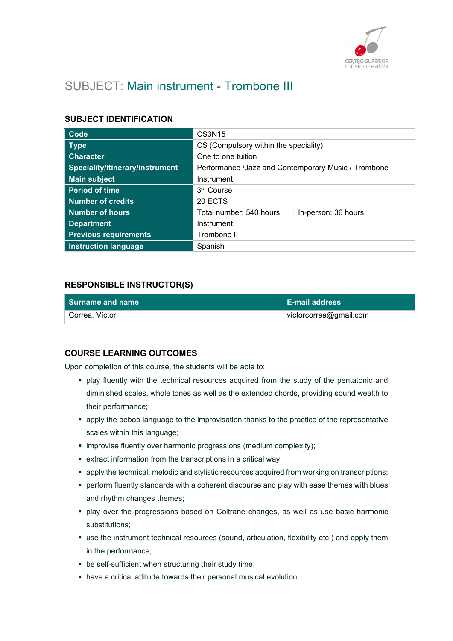

# SUBJECT: Main instrument - Trombone III

### SUBJECT IDENTIFICATION

| <b>Code</b>                     | CS3N15                                              |                     |
|---------------------------------|-----------------------------------------------------|---------------------|
| <b>Type</b>                     | CS (Compulsory within the speciality)               |                     |
| <b>Character</b>                | One to one tuition                                  |                     |
| Speciality/itinerary/instrument | Performance /Jazz and Contemporary Music / Trombone |                     |
| <b>Main subject</b>             | Instrument                                          |                     |
| <b>Period of time</b>           | 3rd Course                                          |                     |
| <b>Number of credits</b>        | 20 ECTS                                             |                     |
| Number of hours                 | Total number: 540 hours                             | In-person: 36 hours |
| <b>Department</b>               | Instrument                                          |                     |
| <b>Previous requirements</b>    | Trombone II                                         |                     |
| <b>Instruction language</b>     | Spanish                                             |                     |

### RESPONSIBLE INSTRUCTOR(S)

| Surname and name | <b>E-mail address</b>  |
|------------------|------------------------|
| Correa, Víctor   | victorcorrea@gmail.com |

# COURSE LEARNING OUTCOMES

Upon completion of this course, the students will be able to:

- play fluently with the technical resources acquired from the study of the pentatonic and diminished scales, whole tones as well as the extended chords, providing sound wealth to their performance;
- apply the bebop language to the improvisation thanks to the practice of the representative scales within this language;
- $\blacksquare$  improvise fluently over harmonic progressions (medium complexity);
- extract information from the transcriptions in a critical way;
- apply the technical, melodic and stylistic resources acquired from working on transcriptions;
- perform fluently standards with a coherent discourse and play with ease themes with blues and rhythm changes themes;
- play over the progressions based on Coltrane changes, as well as use basic harmonic substitutions;
- use the instrument technical resources (sound, articulation, flexibility etc.) and apply them in the performance;
- be self-sufficient when structuring their study time;
- have a critical attitude towards their personal musical evolution.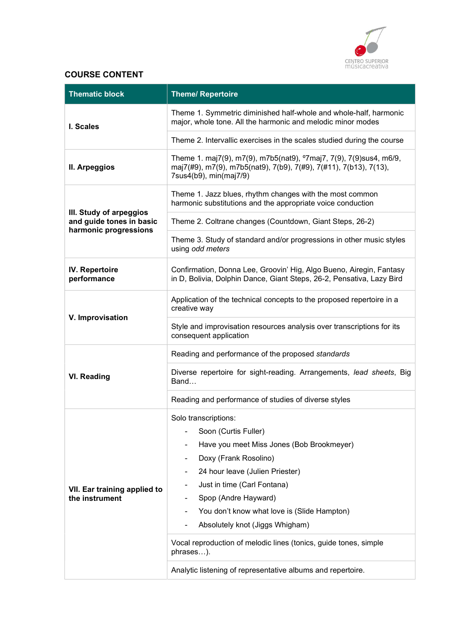

# COURSE CONTENT

| <b>Thematic block</b>                               | <b>Theme/ Repertoire</b>                                                                                                                                                      |
|-----------------------------------------------------|-------------------------------------------------------------------------------------------------------------------------------------------------------------------------------|
| I. Scales                                           | Theme 1. Symmetric diminished half-whole and whole-half, harmonic<br>major, whole tone. All the harmonic and melodic minor modes                                              |
|                                                     | Theme 2. Intervallic exercises in the scales studied during the course                                                                                                        |
| II. Arpeggios                                       | Theme 1. maj7(9), m7(9), m7b5(nat9), <sup>o</sup> 7maj7, 7(9), 7(9)sus4, m6/9,<br>maj7(#9), m7(9), m7b5(nat9), 7(b9), 7(#9), 7(#11), 7(b13), 7(13),<br>7sus4(b9), min(maj7/9) |
|                                                     | Theme 1. Jazz blues, rhythm changes with the most common<br>harmonic substitutions and the appropriate voice conduction                                                       |
| III. Study of arpeggios<br>and guide tones in basic | Theme 2. Coltrane changes (Countdown, Giant Steps, 26-2)                                                                                                                      |
| harmonic progressions                               | Theme 3. Study of standard and/or progressions in other music styles<br>using odd meters                                                                                      |
| IV. Repertoire<br>performance                       | Confirmation, Donna Lee, Groovin' Hig, Algo Bueno, Airegin, Fantasy<br>in D, Bolivia, Dolphin Dance, Giant Steps, 26-2, Pensativa, Lazy Bird                                  |
| V. Improvisation                                    | Application of the technical concepts to the proposed repertoire in a<br>creative way                                                                                         |
|                                                     | Style and improvisation resources analysis over transcriptions for its<br>consequent application                                                                              |
|                                                     | Reading and performance of the proposed standards                                                                                                                             |
| <b>VI. Reading</b>                                  | Diverse repertoire for sight-reading. Arrangements, lead sheets, Big<br>Band                                                                                                  |
|                                                     | Reading and performance of studies of diverse styles                                                                                                                          |
|                                                     | Solo transcriptions:                                                                                                                                                          |
|                                                     | Soon (Curtis Fuller)                                                                                                                                                          |
|                                                     | Have you meet Miss Jones (Bob Brookmeyer)                                                                                                                                     |
|                                                     | Doxy (Frank Rosolino)                                                                                                                                                         |
|                                                     | 24 hour leave (Julien Priester)                                                                                                                                               |
| VII. Ear training applied to<br>the instrument      | Just in time (Carl Fontana)                                                                                                                                                   |
|                                                     | Spop (Andre Hayward)                                                                                                                                                          |
|                                                     | You don't know what love is (Slide Hampton)                                                                                                                                   |
|                                                     | Absolutely knot (Jiggs Whigham)                                                                                                                                               |
|                                                     | Vocal reproduction of melodic lines (tonics, guide tones, simple<br>phrases).                                                                                                 |
|                                                     | Analytic listening of representative albums and repertoire.                                                                                                                   |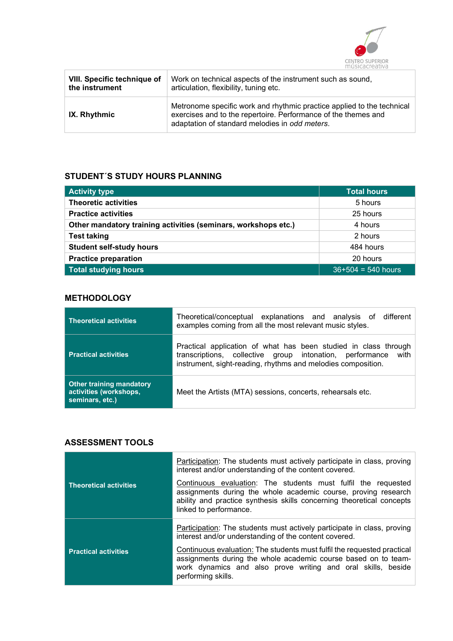

| <b>VIII. Specific technique of</b> | Work on technical aspects of the instrument such as sound,                                                                                                                                 |
|------------------------------------|--------------------------------------------------------------------------------------------------------------------------------------------------------------------------------------------|
| the instrument                     | articulation, flexibility, tuning etc.                                                                                                                                                     |
| IX. Rhythmic                       | Metronome specific work and rhythmic practice applied to the technical<br>exercises and to the repertoire. Performance of the themes and<br>adaptation of standard melodies in odd meters. |

### STUDENT´S STUDY HOURS PLANNING

| <b>Activity type</b>                                           | <b>Total hours</b>   |
|----------------------------------------------------------------|----------------------|
| <b>Theoretic activities</b>                                    | 5 hours              |
| <b>Practice activities</b>                                     | 25 hours             |
| Other mandatory training activities (seminars, workshops etc.) | 4 hours              |
| <b>Test taking</b>                                             | 2 hours              |
| <b>Student self-study hours</b>                                | 484 hours            |
| <b>Practice preparation</b>                                    | 20 hours             |
| <b>Total studying hours</b>                                    | $36+504 = 540$ hours |

# **METHODOLOGY**

| <b>Theoretical activities</b>                                                | Theoretical/conceptual explanations and analysis of different<br>examples coming from all the most relevant music styles.                                                                           |
|------------------------------------------------------------------------------|-----------------------------------------------------------------------------------------------------------------------------------------------------------------------------------------------------|
| <b>Practical activities</b>                                                  | Practical application of what has been studied in class through<br>with<br>transcriptions, collective group intonation, performance<br>instrument, sight-reading, rhythms and melodies composition. |
| <b>Other training mandatory</b><br>activities (workshops,<br>seminars, etc.) | Meet the Artists (MTA) sessions, concerts, rehearsals etc.                                                                                                                                          |

# ASSESSMENT TOOLS

|                               | Participation: The students must actively participate in class, proving<br>interest and/or understanding of the content covered.                                                                                                   |
|-------------------------------|------------------------------------------------------------------------------------------------------------------------------------------------------------------------------------------------------------------------------------|
| <b>Theoretical activities</b> | Continuous evaluation: The students must fulfil the requested<br>assignments during the whole academic course, proving research<br>ability and practice synthesis skills concerning theoretical concepts<br>linked to performance. |
|                               | Participation: The students must actively participate in class, proving<br>interest and/or understanding of the content covered.                                                                                                   |
| <b>Practical activities</b>   | Continuous evaluation: The students must fulfil the requested practical<br>assignments during the whole academic course based on to team-<br>work dynamics and also prove writing and oral skills, beside<br>performing skills.    |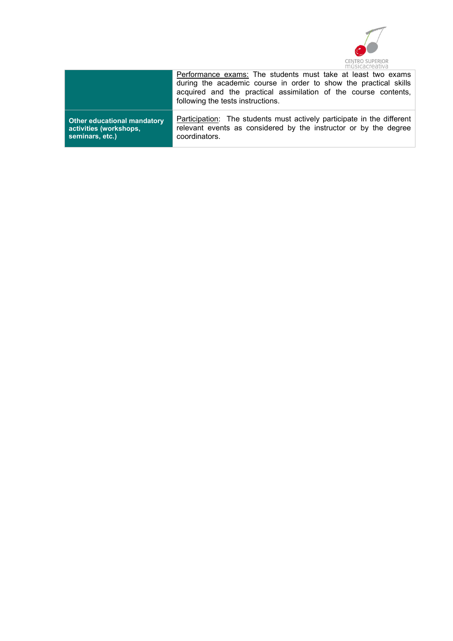

|                                    | Performance exams: The students must take at least two exams<br>during the academic course in order to show the practical skills<br>acquired and the practical assimilation of the course contents,<br>following the tests instructions. |
|------------------------------------|------------------------------------------------------------------------------------------------------------------------------------------------------------------------------------------------------------------------------------------|
| <b>Other educational mandatory</b> | Participation: The students must actively participate in the different                                                                                                                                                                   |
| activities (workshops,             | relevant events as considered by the instructor or by the degree                                                                                                                                                                         |
| seminars, etc.)                    | coordinators.                                                                                                                                                                                                                            |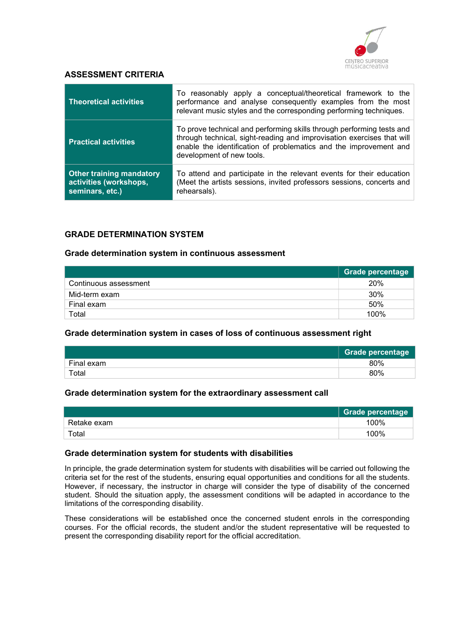

#### ASSESSMENT CRITERIA

| <b>Theoretical activities</b>                                                | To reasonably apply a conceptual/theoretical framework to the<br>performance and analyse consequently examples from the most<br>relevant music styles and the corresponding performing techniques.                                                |
|------------------------------------------------------------------------------|---------------------------------------------------------------------------------------------------------------------------------------------------------------------------------------------------------------------------------------------------|
| <b>Practical activities</b>                                                  | To prove technical and performing skills through performing tests and<br>through technical, sight-reading and improvisation exercises that will<br>enable the identification of problematics and the improvement and<br>development of new tools. |
| <b>Other training mandatory</b><br>activities (workshops,<br>seminars, etc.) | To attend and participate in the relevant events for their education<br>(Meet the artists sessions, invited professors sessions, concerts and<br>rehearsals).                                                                                     |

# GRADE DETERMINATION SYSTEM

#### Grade determination system in continuous assessment

|                       | <b>Grade percentage</b> |
|-----------------------|-------------------------|
| Continuous assessment | 20%                     |
| Mid-term exam         | 30%                     |
| Final exam            | 50%                     |
| Total                 | 100%                    |

#### Grade determination system in cases of loss of continuous assessment right

|            | <b>Grade percentage</b> |
|------------|-------------------------|
| Final exam | 80%                     |
| Total      | 80%                     |

#### Grade determination system for the extraordinary assessment call

|             | Grade percentage |
|-------------|------------------|
| Retake exam | 100%             |
| Total       | 100%             |

#### Grade determination system for students with disabilities

In principle, the grade determination system for students with disabilities will be carried out following the criteria set for the rest of the students, ensuring equal opportunities and conditions for all the students. However, if necessary, the instructor in charge will consider the type of disability of the concerned student. Should the situation apply, the assessment conditions will be adapted in accordance to the limitations of the corresponding disability.

These considerations will be established once the concerned student enrols in the corresponding courses. For the official records, the student and/or the student representative will be requested to present the corresponding disability report for the official accreditation.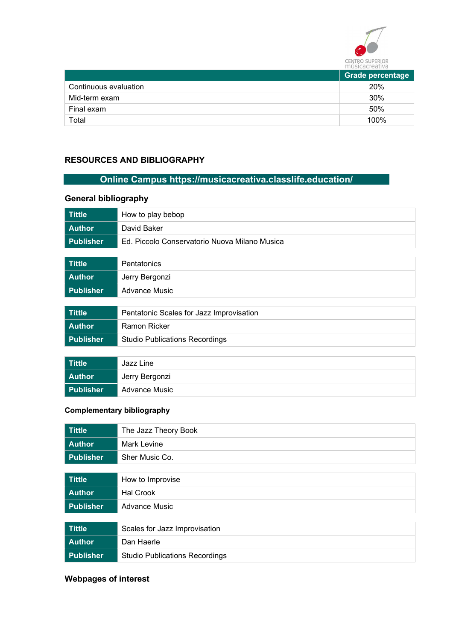

|                       | <b>Grade percentage</b> |
|-----------------------|-------------------------|
| Continuous evaluation | 20%                     |
| Mid-term exam         | 30%                     |
| Final exam            | 50%                     |
| Total                 | 100%                    |

# RESOURCES AND BIBLIOGRAPHY

# Online Campus https://musicacreativa.classlife.education/

# General bibliography

| <b>Tittle</b>    | How to play bebop                             |
|------------------|-----------------------------------------------|
| <b>Author</b>    | David Baker                                   |
| <b>Publisher</b> | Ed. Piccolo Conservatorio Nuova Milano Musica |
|                  |                                               |
| <b>Tittle</b>    | Pentatonics                                   |
| <b>Author</b>    | Jerry Bergonzi                                |
| <b>Publisher</b> | <b>Advance Music</b>                          |
|                  |                                               |
| <b>Tittle</b>    | Pentatonic Scales for Jazz Improvisation      |
| <b>Author</b>    | Ramon Ricker                                  |
| <b>Publisher</b> | <b>Studio Publications Recordings</b>         |
|                  |                                               |

| <b>Tittle</b> | Jazz Line      |
|---------------|----------------|
| <b>Author</b> | Jerry Bergonzi |
| Publisher     | Advance Music  |

# Complementary bibliography

| <b>Tittle</b>    | The Jazz Theory Book                  |
|------------------|---------------------------------------|
| <b>Author</b>    | <b>Mark Levine</b>                    |
| <b>Publisher</b> | Sher Music Co.                        |
|                  |                                       |
| <b>Tittle</b>    | How to Improvise                      |
| <b>Author</b>    | <b>Hal Crook</b>                      |
| <b>Publisher</b> | <b>Advance Music</b>                  |
|                  |                                       |
| <b>Tittle</b>    | Scales for Jazz Improvisation         |
| <b>Author</b>    | Dan Haerle                            |
| <b>Publisher</b> | <b>Studio Publications Recordings</b> |

# Webpages of interest